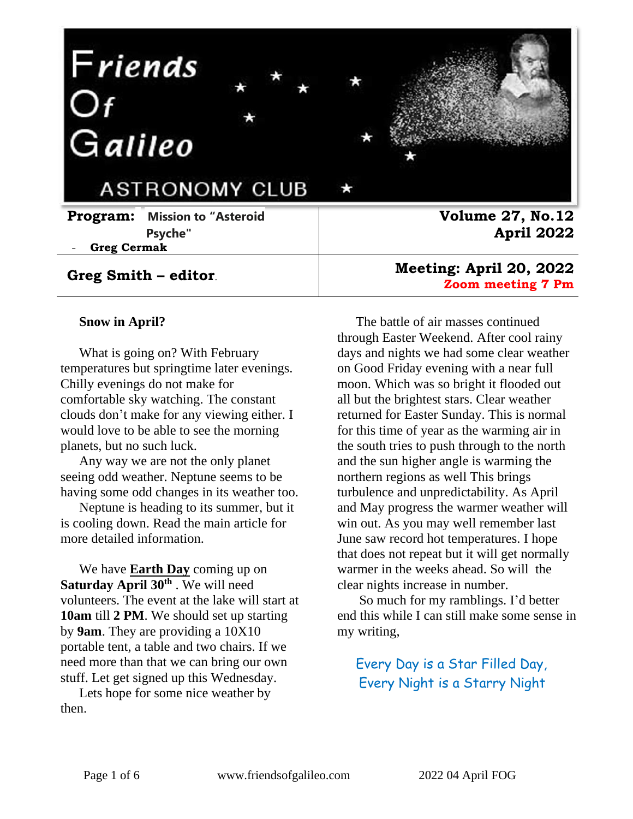

#### **Greg Smith – editor**.

#### **Snow in April?**

What is going on? With February temperatures but springtime later evenings. Chilly evenings do not make for comfortable sky watching. The constant clouds don't make for any viewing either. I would love to be able to see the morning planets, but no such luck.

Any way we are not the only planet seeing odd weather. Neptune seems to be having some odd changes in its weather too.

Neptune is heading to its summer, but it is cooling down. Read the main article for more detailed information.

We have **Earth Day** coming up on **Saturday April 30th** . We will need volunteers. The event at the lake will start at **10am** till **2 PM**. We should set up starting by **9am**. They are providing a 10X10 portable tent, a table and two chairs. If we need more than that we can bring our own stuff. Let get signed up this Wednesday.

Lets hope for some nice weather by then.

**Meeting: April 20, 2022 Zoom meeting 7 Pm** 

The battle of air masses continued through Easter Weekend. After cool rainy days and nights we had some clear weather on Good Friday evening with a near full moon. Which was so bright it flooded out all but the brightest stars. Clear weather returned for Easter Sunday. This is normal for this time of year as the warming air in the south tries to push through to the north and the sun higher angle is warming the northern regions as well This brings turbulence and unpredictability. As April and May progress the warmer weather will win out. As you may well remember last June saw record hot temperatures. I hope that does not repeat but it will get normally warmer in the weeks ahead. So will the clear nights increase in number.

So much for my ramblings. I'd better end this while I can still make some sense in my writing,

Every Day is a Star Filled Day, Every Night is a Starry Night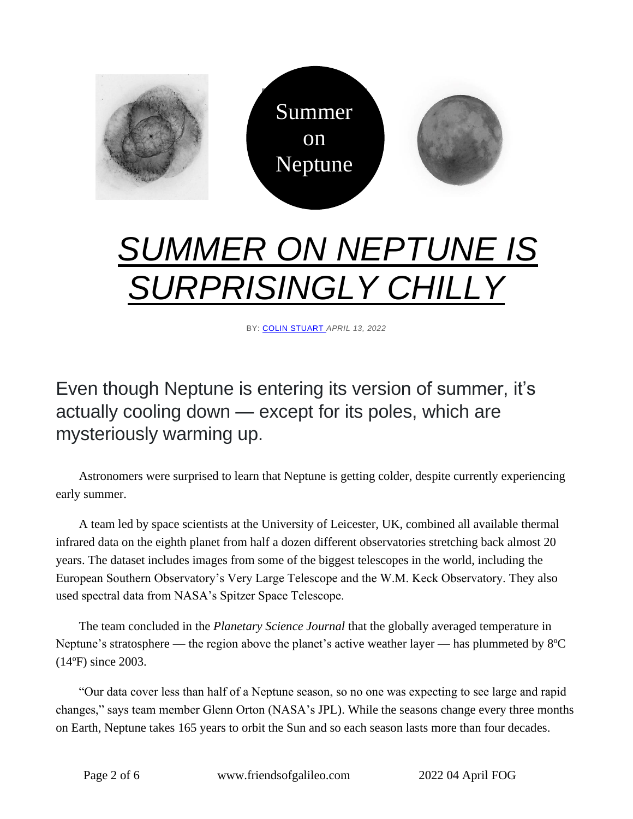

# *[SUMMER ON NEPTUNE IS](https://skyandtelescope.org/astronomy-news/summer-on-neptune-is-surprisingly-chilly/)  [SURPRISINGLY CHILLY](https://skyandtelescope.org/astronomy-news/summer-on-neptune-is-surprisingly-chilly/)*

BY: [COLIN STUART](https://skyandtelescope.org/author/colin-stuart/) *APRIL 13, 2022*

## Even though Neptune is entering its version of summer, it's actually cooling down — except for its poles, which are mysteriously warming up.

Astronomers were surprised to learn that Neptune is getting colder, despite currently experiencing early summer.

A team led by space scientists at the University of Leicester, UK, combined all available thermal infrared data on the eighth planet from half a dozen different observatories stretching back almost 20 years. The dataset includes images from some of the biggest telescopes in the world, including the European Southern Observatory's Very Large Telescope and the W.M. Keck Observatory. They also used spectral data from NASA's Spitzer Space Telescope.

The team concluded in the *Planetary Science Journal* that the globally averaged temperature in Neptune's stratosphere — the region above the planet's active weather layer — has plummeted by 8ºC (14ºF) since 2003.

"Our data cover less than half of a Neptune season, so no one was expecting to see large and rapid changes," says team member Glenn Orton (NASA's JPL). While the seasons change every three months on Earth, Neptune takes 165 years to orbit the Sun and so each season lasts more than four decades.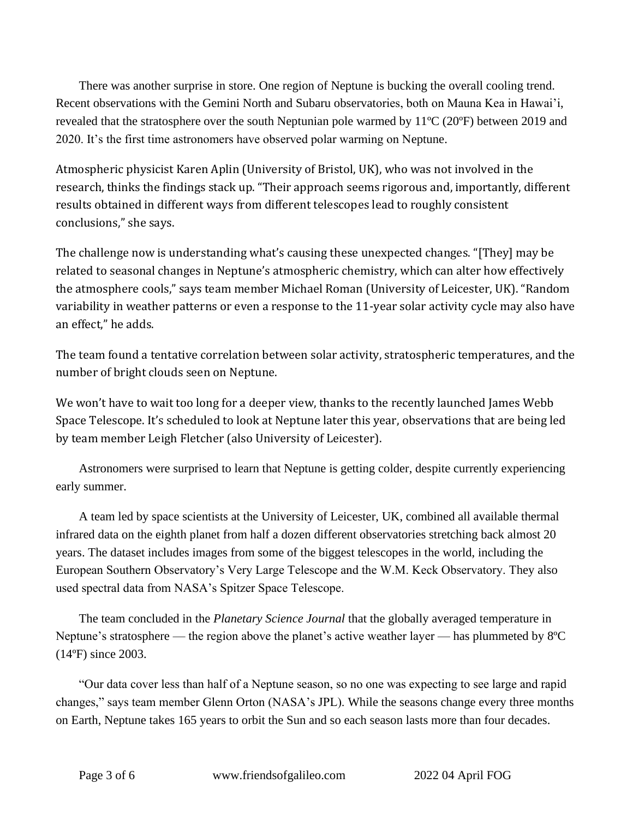There was another surprise in store. One region of Neptune is bucking the overall cooling trend. Recent observations with the Gemini North and Subaru observatories, both on Mauna Kea in Hawai'i, revealed that the stratosphere over the south Neptunian pole warmed by 11ºC (20ºF) between 2019 and 2020. It's the first time astronomers have observed polar warming on Neptune.

Atmospheric physicist Karen Aplin (University of Bristol, UK), who was not involved in the research, thinks the findings stack up. "Their approach seems rigorous and, importantly, different results obtained in different ways from different telescopes lead to roughly consistent conclusions," she says.

The challenge now is understanding what's causing these unexpected changes. "[They] may be related to seasonal changes in Neptune's atmospheric chemistry, which can alter how effectively the atmosphere cools," says team member Michael Roman (University of Leicester, UK). "Random variability in weather patterns or even a response to the 11-year solar activity cycle may also have an effect," he adds.

The team found a tentative correlation between solar activity, stratospheric temperatures, and the number of bright clouds seen on Neptune.

We won't have to wait too long for a deeper view, thanks to the recently launched James Webb Space Telescope. It's scheduled to look at Neptune later this year, observations that are being led by team member Leigh Fletcher (also University of Leicester).

Astronomers were surprised to learn that Neptune is getting colder, despite currently experiencing early summer.

A team led by space scientists at the University of Leicester, UK, combined all available thermal infrared data on the eighth planet from half a dozen different observatories stretching back almost 20 years. The dataset includes images from some of the biggest telescopes in the world, including the European Southern Observatory's Very Large Telescope and the W.M. Keck Observatory. They also used spectral data from NASA's Spitzer Space Telescope.

The team concluded in the *Planetary Science Journal* that the globally averaged temperature in Neptune's stratosphere — the region above the planet's active weather layer — has plummeted by 8ºC (14ºF) since 2003.

"Our data cover less than half of a Neptune season, so no one was expecting to see large and rapid changes," says team member Glenn Orton (NASA's JPL). While the seasons change every three months on Earth, Neptune takes 165 years to orbit the Sun and so each season lasts more than four decades.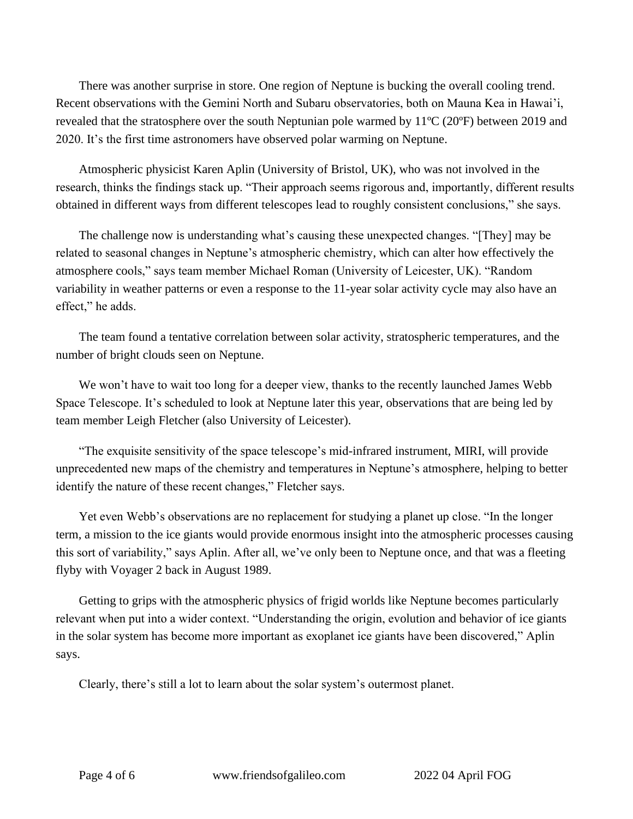There was another surprise in store. One region of Neptune is bucking the overall cooling trend. Recent observations with the Gemini North and Subaru observatories, both on Mauna Kea in Hawai'i, revealed that the stratosphere over the south Neptunian pole warmed by 11ºC (20ºF) between 2019 and 2020. It's the first time astronomers have observed polar warming on Neptune.

Atmospheric physicist Karen Aplin (University of Bristol, UK), who was not involved in the research, thinks the findings stack up. "Their approach seems rigorous and, importantly, different results obtained in different ways from different telescopes lead to roughly consistent conclusions," she says.

The challenge now is understanding what's causing these unexpected changes. "[They] may be related to seasonal changes in Neptune's atmospheric chemistry, which can alter how effectively the atmosphere cools," says team member Michael Roman (University of Leicester, UK). "Random variability in weather patterns or even a response to the 11-year solar activity cycle may also have an effect," he adds.

The team found a tentative correlation between solar activity, stratospheric temperatures, and the number of bright clouds seen on Neptune.

We won't have to wait too long for a deeper view, thanks to the recently launched James Webb Space Telescope. It's scheduled to look at Neptune later this year, observations that are being led by team member Leigh Fletcher (also University of Leicester).

"The exquisite sensitivity of the space telescope's mid-infrared instrument, MIRI, will provide unprecedented new maps of the chemistry and temperatures in Neptune's atmosphere, helping to better identify the nature of these recent changes," Fletcher says.

Yet even Webb's observations are no replacement for studying a planet up close. "In the longer term, a mission to the ice giants would provide enormous insight into the atmospheric processes causing this sort of variability," says Aplin. After all, we've only been to Neptune once, and that was a fleeting flyby with Voyager 2 back in August 1989.

Getting to grips with the atmospheric physics of frigid worlds like Neptune becomes particularly relevant when put into a wider context. "Understanding the origin, evolution and behavior of ice giants in the solar system has become more important as exoplanet ice giants have been discovered," Aplin says.

Clearly, there's still a lot to learn about the solar system's outermost planet.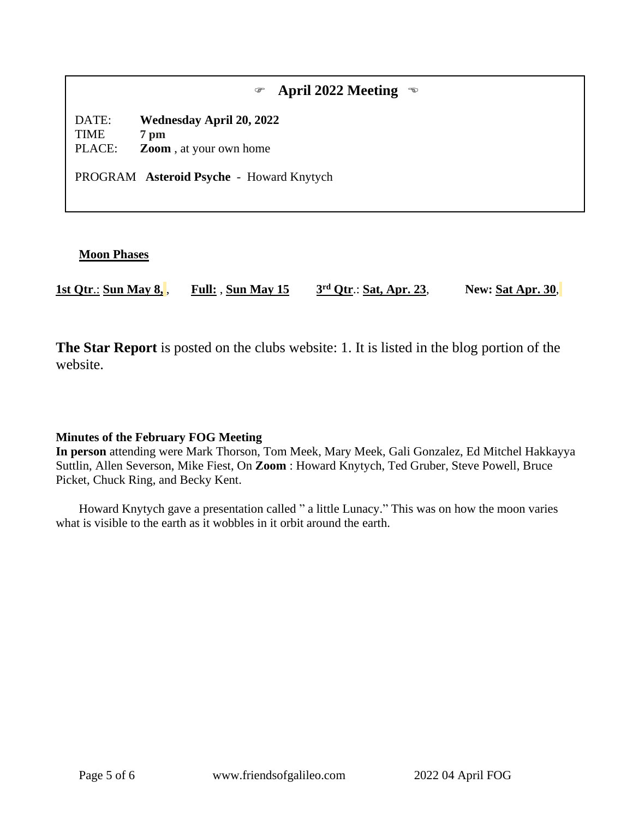|                                                                                      | April 2022 Meeting<br>$\mathcal{P}$               |  |
|--------------------------------------------------------------------------------------|---------------------------------------------------|--|
| DATE:<br>TIME                                                                        | <b>Wednesday April 20, 2022</b><br>$7 \text{ pm}$ |  |
| PLACE:<br><b>Zoom</b> , at your own home<br>PROGRAM Asteroid Psyche - Howard Knytych |                                                   |  |
|                                                                                      |                                                   |  |

#### **Moon Phases**

**1st Qtr**.: **Sun May 8,** , **Full:** , **Sun May 15 3 rd Qtr**.: **Sat, Apr. 23**, **New: Sat Apr. 30**,

**The Star Report** is posted on the clubs website: 1. It is listed in the blog portion of the website.

#### **Minutes of the February FOG Meeting**

**In person** attending were Mark Thorson, Tom Meek, Mary Meek, Gali Gonzalez, Ed Mitchel Hakkayya Suttlin, Allen Severson, Mike Fiest, On **Zoom** : Howard Knytych, Ted Gruber, Steve Powell, Bruce Picket, Chuck Ring, and Becky Kent.

Howard Knytych gave a presentation called " a little Lunacy." This was on how the moon varies what is visible to the earth as it wobbles in it orbit around the earth.